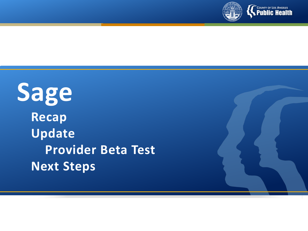

**Sage Recap Update Provider Beta Test Next Steps**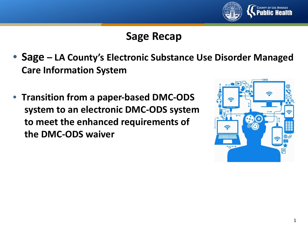

### **Sage Recap**

- **Sage – LA County's Electronic Substance Use Disorder Managed Care Information System**
- **Transition from a paper-based DMC-ODS system to an electronic DMC-ODS system to meet the enhanced requirements of the DMC-ODS waiver**

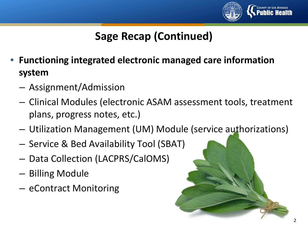

## **Sage Recap (Continued)**

- **Functioning integrated electronic managed care information system**
	- Assignment/Admission
	- Clinical Modules (electronic ASAM assessment tools, treatment plans, progress notes, etc.)
	- Utilization Management (UM) Module (service authorizations)
	- Service & Bed Availability Tool (SBAT)
	- Data Collection (LACPRS/CalOMS)
	- Billing Module
	- eContract Monitoring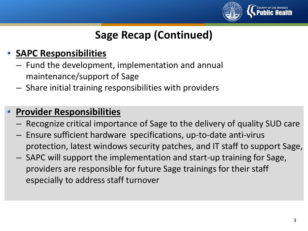

## **Sage Recap (Continued)**

### • **SAPC Responsibilities**

- Fund the development, implementation and annual maintenance/support of Sage
- Share initial training responsibilities with providers

### • **Provider Responsibilities**

- Recognize critical importance of Sage to the delivery of quality SUD care
- Ensure sufficient hardware specifications, up-to-date anti-virus protection, latest windows security patches, and IT staff to support Sage,
- SAPC will support the implementation and start-up training for Sage, providers are responsible for future Sage trainings for their staff especially to address staff turnover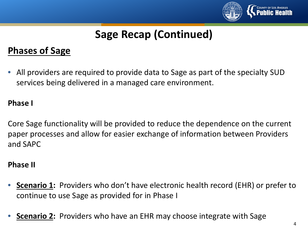

# **Sage Recap (Continued)**

### **Phases of Sage**

• All providers are required to provide data to Sage as part of the specialty SUD services being delivered in a managed care environment.

#### **Phase I**

Core Sage functionality will be provided to reduce the dependence on the current paper processes and allow for easier exchange of information between Providers and SAPC

#### **Phase II**

- **Scenario 1:** Providers who don't have electronic health record (EHR) or prefer to continue to use Sage as provided for in Phase I
- **Scenario 2:** Providers who have an EHR may choose integrate with Sage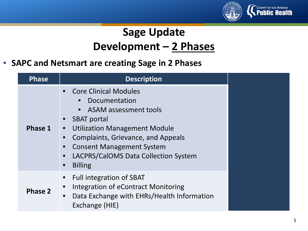

# **Sage Update Development – 2 Phases**

### • **SAPC and Netsmart are creating Sage in 2 Phases**

| <b>Phase</b> | <b>Description</b>                                                                                                                                                                                                                                                                                                             |  |
|--------------|--------------------------------------------------------------------------------------------------------------------------------------------------------------------------------------------------------------------------------------------------------------------------------------------------------------------------------|--|
| Phase 1      | • Core Clinical Modules<br>Documentation<br><b>ASAM assessment tools</b><br><b>SBAT</b> portal<br><b>Utilization Management Module</b><br>$\bullet$<br>Complaints, Grievance, and Appeals<br>$\bullet$<br><b>Consent Management System</b><br>LACPRS/CalOMS Data Collection System<br>$\bullet$<br><b>Billing</b><br>$\bullet$ |  |
| Phase 2      | <b>Full integration of SBAT</b><br>Integration of eContract Monitoring<br>$\bullet$<br>Data Exchange with EHRs/Health Information<br>$\bullet$<br>Exchange (HIE)                                                                                                                                                               |  |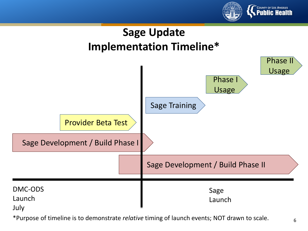



\*Purpose of timeline is to demonstrate *relative* timing of launch events; NOT drawn to scale.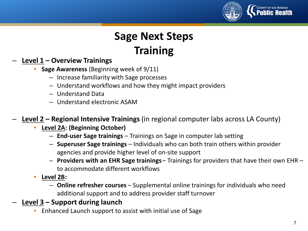

# **Sage Next Steps Training**

#### – **Level 1 – Overview Trainings**

- **Sage Awareness** (Beginning week of 9/11)
	- Increase familiarity with Sage processes
	- Understand workflows and how they might impact providers
	- Understand Data
	- Understand electronic ASAM
- **Level 2 – Regional Intensive Trainings** (in regional computer labs across LA County)
	- **Level 2A: (Beginning October)**
		- **End-user Sage trainings** Trainings on Sage in computer lab setting
		- **Superuser Sage trainings**  Individuals who can both train others within provider agencies and provide higher level of on-site support
		- **Providers with an EHR Sage trainings**  Trainings for providers that have their own EHR to accommodate different workflows
	- **Level 2B:** 
		- **Online refresher courses**  Supplemental online trainings for individuals who need additional support and to address provider staff turnover
- **Level 3 – Support during launch**
	- Enhanced Launch support to assist with initial use of Sage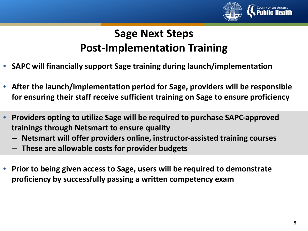

# **Sage Next Steps Post-Implementation Training**

- **SAPC will financially support Sage training during launch/implementation**
- **After the launch/implementation period for Sage, providers will be responsible for ensuring their staff receive sufficient training on Sage to ensure proficiency**
- **Providers opting to utilize Sage will be required to purchase SAPC-approved trainings through Netsmart to ensure quality**
	- **Netsmart will offer providers online, instructor-assisted training courses**
	- **These are allowable costs for provider budgets**
- **Prior to being given access to Sage, users will be required to demonstrate proficiency by successfully passing a written competency exam**